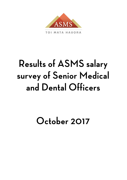

TOI MATA HAUORA

# **Results of ASMS salary** survey of Senior Medical and Dental Officers

## October 2017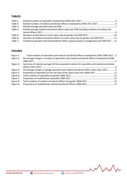## **TABLES**

| Table 1: |                                                                                            |  |
|----------|--------------------------------------------------------------------------------------------|--|
| Table 2: |                                                                                            |  |
| Table 3: |                                                                                            |  |
| Table 4: | Ranked average medical and dental officer salary per DHB including numbers of medical and  |  |
|          |                                                                                            |  |
| Table 5: |                                                                                            |  |
| Table 6: | Numbers of medical and dental officers on each salary step by gender and DHB 2017 11       |  |
| Table 7: | Combined specialist and medical/dental officer superannuation arrangements per DHB 2017 15 |  |
|          |                                                                                            |  |

## **FIGURES**

| Figure 1: | Total numbers of specialists and medical and dental officers employed by DHBs 2006-20175         |  |
|-----------|--------------------------------------------------------------------------------------------------|--|
| Figure 2: | Percentage change in numbers of specialists and medical and dental officers employed by DHBs     |  |
|           |                                                                                                  |  |
| Figure 3: | Summary of national average full time equivalent salaries for specialists and medical and dental |  |
|           |                                                                                                  |  |
| Figure 4: | Percentage change in average specialist and medical and dental officer salary 2011-20176         |  |
| Figure 5: | Proportion of specialists on the top step of the salary scale from 2006-2017 11                  |  |
| Figure 6: |                                                                                                  |  |
| Figure 7: |                                                                                                  |  |
| Figure 8: |                                                                                                  |  |
| Figure 9: |                                                                                                  |  |
|           |                                                                                                  |  |

MMM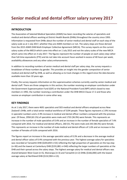#### **INTRODUCTION**

The Association of Salaried Medical Specialists (ASMS) has been recording the salaries of specialists and medical and dental officers working at District Health Boards (DHBs) throughout the country since 1993. Information is requested from DHBs about the number of senior medical and dental staff on each step of the salary scale as at 1 July 2017, whether they are ASMS members or not. The salary steps are those derived from the 2015 ASMS DHB Multi-Employer Collective Agreement (MECA). This survey reports on the current salary scales of the MECA which came into effect on 1 July 2015 and not the salary scales of the new MECA which came into effect on 3 July 2017. The figures represent the number of people on each salary step rather than full-time equivalents (FTE) and do not take into account hours worked in excess of 40 hours per week, availability allowances and any other salary enhancements.

In addition to recording numbers of senior medical and dental staff per salary step, the survey requests a breakdown of these numbers by gender. This provides an insight into the gender composition of senior medical and dental staff by DHB, as well as allowing us to track changes in this regard since the data became available more than 10 years ago.

Finally, the survey requests information on the superannuation schemes currently used by senior medical and dental staff. There are three categories in this section; the number receiving an employer contribution under the Government Superannuation Fund (GSF) or the National Provident Fund (NPF) which closed to new members in 1992, the number receiving a contribution under the DHB MECA Clause 17.2 and those who receive an employer contribution in some other way.

#### **KEY FINDINGS**

As at 1 July 2017, there were 4691 specialists and 503 medical and dental officers employed across New Zealand's DHBs, with a total senior medical workforce of 5194 people. These figures represent a 2.9% increase in specialist numbers and a 3.9% increase in medical and dental officer numbers compared with the previous year. Of these, 2958 (63.1%) of specialists were male and 1733 (36.9%) were female. This represents an increase in the number of male specialists of 0.4% and an increase in the number of female specialists of 7.4% compared with 2016. For medical and dental officers, 260 (51.7%) were male and 243 (48.3%) were female. This represents an increase in the number of male medical and dental officers of 1.6% and an increase in the number of females of 6.6% compared with 2016.

The figures report an increase in the average specialist salary of 0.3% and a decrease in the average medical and dental officer salary of 0.4% compared with the previous year. The highest average salary for specialists was recorded at Tairawhiti DHB (\$204,859 n=53) reflecting the high proportion of specialists on the top step (n=30) and the lowest at Canterbury DHB (\$191,881 n=540) reflecting the larger numbers of specialists at the DHB and their spread across the salary steps. The highest average salary for medical and dental officers was shared between West Coast (n=5), Wairarapa (n=3) and Tairawhiti (n=2) DHBs (\$166,000) with the lowest average salary at Northland DHB (\$132,904 n=13).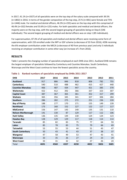In 2017, 41.1% (n=1927) of all specialists were on the top step of the salary scale compared with 39.5% (n=1802) in 2016. In terms of the gender composition of the top step, 25 % (n=481) were female and 75% (n=1446) male. For medical and dental officers, 46.3% (n=233) were on the top step with this comprised of 46.4% (n=102) females and 53.6% (n=125) males. For both specialists and medical and dental officers, the majority were on the top step, with the second largest grouping of specialists being on Step 6 (546 individuals). The second largest grouping of medical and dental officers was on step 1 (85 individuals).

For superannuation, 87.3% of all specialists and medical and dental officers were receiving some form of superannuation, with 233 enrolled under the NPF or GSF scheme (a decrease of 33 from 2016), 4296 receiving the 6% employer contribution under the MECA (a decrease of 40 from previous year) and only 5 individuals receiving an employer contribution in some other way (an increase of 1 from 2016).

#### **RESULTS**

[Table 1](#page-3-0) presents the changing number of specialists employed at each DHB since 2011. Auckland DHB remains the largest employer of specialists followed by Canterbury and Counties Manukau. South Canterbury, Wairarapa and the West Coast continue to have the fewest specialists across the country.

| <b>DHB</b>                | 2017 | 2016 | 2015 | 2014 | 2013 | 2012 | 2011 |
|---------------------------|------|------|------|------|------|------|------|
| <b>Auckland</b>           | 917  | 886  | 846  | 818  | 806  | 782  | 755  |
| Canterbury                | 540  | 510  | 488  | 462  | 415  | 427  | 440  |
| <b>Counties Manukau</b>   | 466  | 487  | 434  | 447  | 421  | 385  | 370  |
| Waitemata                 | 422  | 412  | 392  | 366  | 337  | 323  | 307  |
| <b>Capital Coast</b>      | 387  | 367  | 365  | 361  | 352  | 317  | 299  |
| Waikato                   | 365  | 356  | 345  | 341  | 327  | 306  | 284  |
| Southern                  | 286  | 282  | 275  | 272  | 251  | 236  | 220  |
| <b>Bay of Plenty</b>      | 188  | 177  | 170  | 171  | 155  | 149  | 139  |
| <b>Northland</b>          | 173  | 160  | 152  | 127  | 122  | 117  | 117  |
| <b>MidCentral</b>         | 156  | 147  | 143  | 140  | 135  | 131  | 110  |
| <b>Nelson-Marlborough</b> | 141  | 130  | 87   | 129  | 117  | 112  | 106  |
| <b>Hutt Valley</b>        | 136  | 135  | 144  | 130  | 124  | 124  | 123  |
| <b>Hawkes Bay</b>         | 128  | 129  | 129  | 117  | 118  | 114  | 114  |
| Taranaki                  | 85   | 82   | 83   | 75   | 77   | 64   | 59   |
| <b>Lakes</b>              | 85   | 78   | 83   | 75   | 79   | 66   | 69   |
| Tairawhiti                | 53   | 55   | 53   | 44   | 51   | 43   | 47   |
| <b>South Canterbury</b>   | 50   | 43   | 41   | 43   | 37   | 38   | 37   |
| Wanganui                  | 47   | 58   | 49   | 53   | 47   | 43   | 41   |
| Wairarapa                 | 33   | 35   | 26   | 27   | 24   | 23   | 24   |
| <b>West Coast</b>         | 33   | 31   | 32   | 32   | 27   | 26   | 24   |
| Total                     | 4691 | 4560 | 4337 | 4230 | 4022 | 3826 | 3685 |

#### <span id="page-3-0"></span>**Table 1: Ranked numbers of specialists employed by DHBs 2011-2017**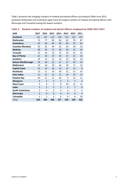[Table 2](#page-4-0) presents the changing numbers of medical and dental officers according to DHBs since 2011. Auckland, Waitemata and Canterbury again have the largest numbers of medical and dental officers with Wairarapa and Tairawhiti having the lowest numbers.

| <b>DHB</b>              | 2017 | 2016           | 2015 | 2014           | 2013           | 2012           | 2011           |
|-------------------------|------|----------------|------|----------------|----------------|----------------|----------------|
| <b>Auckland</b>         | 121  | 122            | 113  | 118            | 110            | 116            | 107            |
| Waitemata               | 74   | 77             | 83   | 84             | 82             | 78             | 87             |
| Canterbury              | 62   | 64             | 64   | 64             | 60             | 52             | 65             |
| <b>Counties Manukau</b> | 45   | 25             | 49   | 42             | 43             | 39             | 33             |
| Waikato                 | 38   | 35             | 27   | 28             | 30             | 31             | 35             |
| <b>Taranaki</b>         | 22   | 19             | 16   | 15             | 16             | 25             | 25             |
| <b>Bay of Plenty</b>    | 21   | 23             | 19   | 24             | 21             | 22             | 24             |
| Southern                | 19   | 14             | 15   | 18             | 19             | 25             | 33             |
| Nelson-Marlborough      | 18   | 18             | 22   | 21             | 27             | 29             | 33             |
| <b>MidCentral</b>       | 14   | 18             | 18   | 18             | 18             | 17             | 13             |
| <b>Capital Coast</b>    | 13   | 14             | 16   | 16             | 15             | 13             | 9              |
| <b>Northland</b>        | 13   | 11             | 10   | 30             | 31             | 31             | 35             |
| <b>Hutt Valley</b>      | 11   | 11             | 11   | 11             | 10             | 10             | 12             |
| <b>Hawkes Bay</b>       | 10   | 11             | 11   | 10             | 9              | 12             | 11             |
| Wanganui                | 6    | 5              | 4    | 5              | 3              | 3              | 4              |
| <b>West Coast</b>       | 5    | 6              | 5    | 8              | 10             | 12             | 11             |
| <b>Lakes</b>            | 3    | 5              | 3    | 3              | $\overline{2}$ | $\overline{7}$ | 8              |
| <b>South Canterbury</b> | 3    | 4              | 3    | 4              | 6              | 4              | 6              |
| Wairarapa               | 3    | 0              | 6    | $\overline{a}$ | 4              | 6              | $\overline{4}$ |
| <b>Tairawhiti</b>       | 2    | $\overline{2}$ | 3    | 4              | 4              | 8              | 10             |
| Total                   | 503  | 484            | 498  | 527            | 520            | 540            | 565            |

#### <span id="page-4-0"></span>**Table 2: Ranked numbers of medical and dental officers employed by DHBs 2011-2017**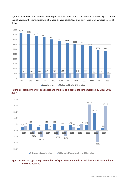Figure 1 shows how total numbers of both specialists and medical and dental officers have changed over the past 11 years, with Figure 2 displaying the year-on-year percentage change in these total numbers across all DHBs.



**Figure 1: Total numbers of specialists and medical and dental officers employed by DHBs 2006- 2017**



#### **Figure 2: Percentage change in numbers of specialists and medical and dental officers employed by DHBs 2006-2017**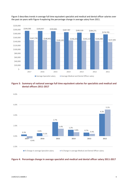

Figure 3 describes trends in average full time equivalent specialist and medical and dental officer salaries over the past six years with Figure 4 exploring the percentage change in average salary from 2011.

#### **Figure 3: Summary of national average full time equivalent salaries for specialists and medical and dental officers 2011-2017**



#### **Figure 4: Percentage change in average specialist and medical and dental officer salary 2011-2017**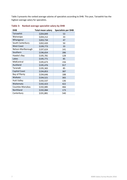Table 3 presents the ranked average salaries of specialists according to DHB. This year, Tairawhiti has the highest average salary for specialists.

| <b>DHB</b>              | <b>Total mean salary</b> | <b>Specialists per DHB</b> |
|-------------------------|--------------------------|----------------------------|
| Tairawhiti              | \$204,849                | 53                         |
| Wairarapa               | \$204,212                | 33                         |
| Whanganui               | \$203,734                | 47                         |
| South Canterbury        | \$202,420                | 50                         |
| <b>West Coast</b>       | \$199,773                | 33                         |
| Nelson-Marlborough      | \$197,624                | 141                        |
| Southern                | \$196,654                | 286                        |
| Hawke's Bay             | \$195,781                | 128                        |
| Lakes                   | \$195,771                | 85                         |
| MidCentral              | \$195,673                | 156                        |
| Auckland                | \$195,476                | 917                        |
| Taranaki                | \$195,365                | 85                         |
| <b>Capital Coast</b>    | \$194,853                | 387                        |
| Bay of Plenty           | \$194,646                | 188                        |
| Waikato                 | \$194,521                | 365                        |
| <b>Hutt Valley</b>      | \$192,537                | 136                        |
| Waitemata               | \$192,423                | 422                        |
| <b>Counties Manukau</b> | \$192,085                | 466                        |
| Northland               | \$192,084                | 173                        |
| Canterbury              | \$191,881                | 540                        |

#### **Table 3: Ranked average specialist salary by DHB**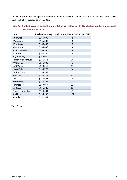Table 4 presents the same figures for medical and dental officers. Tairawhiti, Wairarapa and West Coast DHBs have the highest average salary in 2017.

#### **Table 4: Ranked average medical and dental officer salary per DHB including numbers of medical and dental officers 2017**

| <b>DHB</b>              | Total mean salary | <b>Medical and Dental Officers per DHB</b> |  |  |  |  |
|-------------------------|-------------------|--------------------------------------------|--|--|--|--|
| Tairawhiti              | \$166,000         | 2                                          |  |  |  |  |
| Wairarapa               | \$166,000         | 3                                          |  |  |  |  |
| <b>West Coast</b>       | \$166,000         | 5                                          |  |  |  |  |
| MidCentral              | \$164,696         | 14                                         |  |  |  |  |
| South Canterbury        | \$163,750         | 3                                          |  |  |  |  |
| Southern                | \$163,750         | 19                                         |  |  |  |  |
| Bay of Plenty           | \$162,940         | 21                                         |  |  |  |  |
| Nelson-Marlborough      | \$161,653         | 18                                         |  |  |  |  |
| Whanganui               | \$161,000         | 6                                          |  |  |  |  |
| <b>Hutt Valley</b>      | \$159,318         | 11                                         |  |  |  |  |
| Hawke's Bay             | \$155,775         | 10                                         |  |  |  |  |
| Capital Coast           | \$155,269         | 13                                         |  |  |  |  |
| Waikato                 | \$153,724         | 38                                         |  |  |  |  |
| Lakes                   | \$150,667         | 3                                          |  |  |  |  |
| Waitemata               | \$150,122         | 74                                         |  |  |  |  |
| Taranaki                | \$149,057         | 22                                         |  |  |  |  |
| Canterbury              | \$145,585         | 62                                         |  |  |  |  |
| <b>Counties Manukau</b> | \$144,694         | 45                                         |  |  |  |  |
| Auckland                | \$135,942         | 121                                        |  |  |  |  |
| Northland               | \$132,904         | 13                                         |  |  |  |  |

[Table 5](#page-10-0) and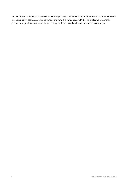[Table 6](#page-10-1) present a detailed breakdown of where specialists and medical and dental officers are placed on their respective salary scales according to gender and how this varies at each DHB. The final rows present the gender totals, national totals and the percentage of females and males on each of the salary steps.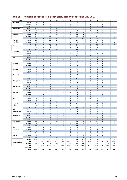<span id="page-10-1"></span>

| <b>DHB</b>           |                  | 13             | 12             | 11             | 10             | 9                       | 8              | 7                   | 6              | 5                       | 4              | з               | 2              | 1                         |
|----------------------|------------------|----------------|----------------|----------------|----------------|-------------------------|----------------|---------------------|----------------|-------------------------|----------------|-----------------|----------------|---------------------------|
| Northland            | Males            | 37             | 9              | 6              | 4              | $\overline{7}$          | 5              | 3                   | 8              | 3                       | 15             | 4               | 5              | 0                         |
|                      | Females          | 20             | 5              | $\overline{2}$ | $\overline{2}$ | 4                       | $\mathbf{1}$   | 3                   | 9              | 5                       | 10             | 5               | 0              | $\mathbf{1}$              |
|                      | <b>TOTAL</b>     | 57             | 14             | 8              | 6              | 11                      | 6              | 6                   | 17             | 8                       | 25             | 9               | 5              | $\mathbf{1}$              |
| Waitemata            | Males            | 111            | 17             | 14             | 13             | 8                       | 9              | 7                   | 25             | 9                       | 10             | 11              | 16             | 6                         |
|                      | Females          | 44             | 5              | 4              | 10             | 8                       | 10             | 6                   | 25             | 18                      | 12             | 8               | 8              | 8                         |
|                      | <b>TOTAL</b>     | 155            | 22             | 18             | 23             | 16                      | 19             | 13                  | 50             | 27                      | 22             | 19              | 24             | 14                        |
| Auckland             | Males            | 276            | 19             | 16             | 13             | 15                      | 11             | 18                  | 62             | 27                      | 16             | 11              | 13             | 8                         |
|                      | Females          | 125            | 19             | 21             | 24             | 18                      | 20             | 29                  | 55             | 21                      | 26             | 23              | 16             | 15                        |
|                      | <b>TOTAL</b>     | 401            | 38             | 37             | 37             | 33                      | 31             | 47                  | 117            | 48                      | 42             | 34              | 29             | 23                        |
| <b>Counties</b>      | Males            | 113            | 16             | 12             | 10             | $\overline{7}$          | 14             | 10                  | 36             | 18                      | 4              | 9               | 6              | 5                         |
| Manukau              | Females          | 50             | 6              | 7              | 9              | 9                       | 16             | 6                   | 46             | 11                      | 17             | 13              | 6              | 10                        |
|                      | <b>TOTAL</b>     | 163            | 22             | 19             | 19             | 16                      | 30             | 16                  | 82             | 29                      | 21             | 22              | 12             | 15                        |
| Waikato              | Males            | 120            | 11             | 10             | 12             | 13                      | 14             | 10                  | 26             | 12                      | 11             | 10              | 10             | $\overline{2}$            |
|                      | Females          | 24             | 5              | 5              | 7              | 5                       | 8              | 7                   | 17             | 8                       | 5              | 4               | 5              | 4                         |
|                      | <b>TOTAL</b>     | 144            | 16             | 15             | 19             | 18                      | 22             | 17                  | 43             | 20                      | 16             | 14              | 15             | 6                         |
| <b>Bay of Plenty</b> | Males            | 69             | 6              | $\overline{2}$ | 4              | $\overline{2}$          | 7              | $\overline{7}$      | 9              | 4                       | 6              | $\overline{4}$  | $\mathbf{1}$   | 3                         |
|                      | Females          | 14             | $\overline{2}$ | $\overline{2}$ | $1\,$          | $\overline{2}$          | 5              | $\overline{7}$      | 10             | $\overline{2}$          | 4              | 8               | $\overline{2}$ | 5                         |
|                      | <b>TOTAL</b>     | 83             | 8              | $\overline{4}$ | 5              | $\overline{4}$          | 12             | 14                  | 19             | 6                       | 10             | 12              | 3              | 8                         |
| Lakes                |                  | 31             | 3              | $\overline{4}$ | 0              | $\overline{2}$          | $\mathbf 1$    | 4                   | 5              | $1\,$                   | $\mathbf{1}$   | $\overline{2}$  | 0              | $\overline{2}$            |
|                      | Males<br>Females | 10             | 0              | $\mathbf{1}$   | 0              | 0                       | $\mathbf 1$    | $\mathbf{1}$        | 3              | 3                       | $\overline{2}$ | 4               | $\overline{2}$ | $\overline{2}$            |
|                      | <b>TOTAL</b>     | 41             | $\overline{3}$ | 5              | $\mathbf 0$    | $\overline{2}$          | $\overline{2}$ | 5                   | $\bf 8$        | 4                       | $\overline{3}$ | 6               | $\overline{2}$ | $\overline{a}$            |
| Tairawhiti           | Males            | 23             | $\overline{2}$ | $\mathbf{1}$   | 4              | $\overline{2}$          | 4              | $\mathbf{1}$        | 0              | 0                       | $\mathbf{1}$   | 0               | 0              | 0                         |
|                      | Females          | $\overline{7}$ | 0              | $1\,$          | $\overline{2}$ | $\mathbf 1$             | $\overline{2}$ | 0                   | 0              | 0                       | $\overline{2}$ | 0               | 0              | 0                         |
|                      |                  |                | $\overline{2}$ | $\overline{2}$ | 6              | 3                       | 6              | $\mathbf{1}$        | $\pmb{0}$      | $\mathbf 0$             | $\overline{3}$ | $\mathbf 0$     | $\mathbf{0}$   |                           |
| Taranaki             | <b>TOTAL</b>     | 30<br>28       | $\overline{2}$ | 3              | $\overline{2}$ | $\overline{2}$          | $\overline{2}$ | 3                   | $\overline{7}$ | $\overline{2}$          | $\mathbf 1$    | $\mathbf{1}$    | 0              | $\pmb{0}$<br>$\mathbf{1}$ |
|                      | Males<br>Females |                | 0              | $\mathbf{1}$   | 0              | $\mathbf{1}$            | 3              | $\overline{2}$      | 4              | 0                       | 4              | $\overline{2}$  | $\overline{2}$ | $\overline{2}$            |
|                      |                  | 10             |                |                |                |                         |                |                     |                |                         |                |                 |                |                           |
|                      | <b>TOTAL</b>     | 38             | $\overline{2}$ | $\overline{a}$ | $\overline{2}$ | $\overline{\mathbf{3}}$ | 5              | 5                   | 11             | $\overline{2}$          | 5              | $\overline{3}$  | $\overline{2}$ | 3                         |
| <b>Hawkes Bay</b>    | Males            | 50             | $\mathbf 1$    | 6              | 3              | 6                       | $\mathbf 1$    | $\overline{7}$      | 9              | 4                       | $\mathbf{1}$   | $\mathbf 1$     | 3              | $\overline{2}$            |
|                      | Females          | 6              | 0              | 3              | 0              | 4                       | $\mathbf{1}$   | $\overline{4}$      | 6              | $\overline{2}$          | 3              | 3               | $\overline{2}$ | 0                         |
|                      | <b>TOTAL</b>     | 56             | $\mathbf{1}$   | 9              | 3              | 10                      | $\overline{2}$ | 11                  | 15             | 6                       | $\overline{4}$ | $\overline{4}$  | 5              | $\overline{2}$            |
| Whanganui            | Males            | 21             | $\overline{2}$ | 6              | 0              | 3                       | $\mathbf 1$    | $\mathbf{1}$        | $\mathbf 1$    | $\mathbf{1}$            | $\mathbf{1}$   | $\mathbf{1}$    | 0              | 0                         |
|                      | Females          | $\sqrt{4}$     | $\mathbf 1$    | 0              | $\mathbf 1$    | 0                       | $\mathbf 1$    | 0                   | 0              | $\mathbf 1$             | $\mathbf{1}$   | 0               | 0              | 0                         |
|                      | <b>TOTAL</b>     | 25             | $\overline{3}$ | 6              | $\mathbf 1$    | $\overline{3}$          | $\overline{2}$ | $\mathbf{1}$        | $\mathbf{1}$   | $\overline{2}$          | $\overline{2}$ | $\mathbf{1}$    | $\mathbf{0}$   | $\mathbf 0$               |
| MidCentral           | Males            | 62             | 3              | 3              | 3              | $\mathbf{1}$            | 5              | 6                   | 10             | $\overline{7}$          | $\mathbf{1}$   | 6               | 5              | 3                         |
|                      | Females          | 10             | $\overline{2}$ | $\overline{2}$ | 3              | $\overline{2}$          | 0              | 6                   | 8              | $\mathbf{1}$            | 4              | $\mathbf{1}$    | $\overline{2}$ | 0                         |
|                      | <b>TOTAL</b>     | 72             | 5              | 5              | 6              | 3                       | 5              | 12                  | 18             | 8                       | 5              | $7\overline{ }$ | $\overline{7}$ | 3                         |
| Wairarapa            | Males            | 19             | $\overline{2}$ | 0              | 0              | 0                       | $\overline{2}$ | 0                   | $1\,$          | 0                       | 2              | $\mathbf{1}$    | 0              | $\mathbf{1}$              |
|                      | Females          | 3              | 0              | 0              | 0              | $\mathbf{1}$            | 0              | 0                   | $\mathbf 1$    | 0                       | 0              | 0               | 0              | 0                         |
|                      | <b>TOTAL</b>     | 22             | $\overline{2}$ | $\mathbf{0}$   | 0              | $\mathbf{1}$            | $\overline{2}$ | $\mathbf{0}$        | $\overline{2}$ | $\mathbf 0$             | $\overline{2}$ | $\mathbf{1}$    | $\mathbf{0}$   | $\mathbf{1}$              |
| Hutt                 | Males            | 34             | 5              | 4              | 7              | 6                       | 1              | 5                   | 3              | 6                       | $\overline{2}$ | 4               | 3              | 3                         |
|                      | Females          | 16             | 0              | $\overline{2}$ | 5              | 5                       | $\mathbf{1}$   | 0                   | 4              | 4                       | 5              | 4               | $\mathbf{1}$   | 6                         |
|                      | <b>TOTAL</b>     | 50             | 5              | 6              | 12             | 11                      | $\overline{2}$ | 5                   | $\overline{7}$ | 10                      | $\overline{7}$ | 8               | $\overline{4}$ | 9                         |
| Capital &            | Males            | 114            | 18             | 14             | 6              | 6                       | 9              | 13                  | 19             | 14                      | 12             | 5               | 7              | 6                         |
| Coast                | Females          | 44             | 3              | $\overline{7}$ | 12             | 13                      | 4              | 5                   | 9              | 17                      | 7              | $\overline{7}$  | $\overline{7}$ | 9                         |
|                      | <b>TOTAL</b>     | 158            | 21             | 21             | 18             | 19                      | 13             | 18                  | 28             | 31                      | 19             | 12              | 14             | 15                        |
| Nelson               | Males            | 57             | 3              | 3              | 3              | 8                       | 4              | 0                   | 8              | 8                       | 0              | $\overline{4}$  | $\mathbf{1}$   | 0                         |
| Marlborough          | Females          | 13             | $\overline{2}$ | 0              | 0              | $\overline{2}$          | 6              | 0                   | 8              | 0                       | $\overline{2}$ | $\mathbf{1}$    | 4              | 4                         |
|                      | <b>TOTAL</b>     | 70             | 5              | 3              | 3              | 10                      | 10             | $\mathbf{0}$        | 16             | 8                       | $\overline{2}$ | 5               | 5              | 4                         |
| West Coast           | Males            | $12\,$         | 2              | 4              | 0              | 0                       | 0              | 1                   | 1              | 2                       | 0              | 0               | $\mathbf{1}$   | 0                         |
|                      | Females          | 3              | $\mathbf{1}$   | $\mathbf{1}$   | 0              | $\mathbf{1}$            | 0              | $\mathbf{1}$        | 0              | $\mathbf{1}$            | 1              | 0               | 0              | $\mathbf{1}$              |
|                      | <b>TOTAL</b>     | 15             | $\overline{3}$ | 5              | $\mathbf{0}$   | $\mathbf{1}$            | $\mathbf 0$    | $\overline{2}$      | $\mathbf{1}$   | $\overline{\mathbf{3}}$ | $\mathbf{1}$   | $\pmb{0}$       | $\mathbf{1}$   | $\mathbf{1}$              |
| Canterbury           | Males            | 149            | 26             | 9              | 14             | 10                      | 16             | 13                  | 32             | 18                      | 26             | 18              | $\overline{7}$ | 11                        |
|                      | Females          | 42             | 13             | $\overline{7}$ | 9              | 4                       | 4              | 13                  | 46             | 9                       | 13             | 11              | 9              | 11                        |
|                      | <b>TOTAL</b>     | 191            | 39             | 16             | 23             | 14                      | 20             | 26                  | 78             | 27                      | 39             | 29              | 16             | 22                        |
| South                | Males            | 19             | 6              | 4              | $\mathbf{1}$   | $\mathbf{1}$            | $\overline{2}$ | $\mathsf{O}\xspace$ | $\mathbf{1}$   | 0                       | $\overline{2}$ | 0               | $\mathbf{1}$   | 0                         |
| Canterbury           | Females          | 5              | 3              | 0              | 0              | 0                       | 0              | 0                   | $\mathbf 1$    | $1\,$                   | $\mathbf{1}$   | $\mathbf{1}$    | 0              | $\mathbf{1}$              |
|                      | <b>TOTAL</b>     | 24             | 9              | $\overline{4}$ | $1\,$          | $\mathbf 1$             | $\overline{2}$ | $\mathbf 0$         | $\overline{2}$ | $\mathbf{1}$            | 3              | $\mathbf{1}$    | $\mathbf 1$    | $\mathbf{1}$              |
|                      | Males            | 101            | 5              | 9              | 6              | 12                      | $\overline{2}$ | 6                   | 15             | 13                      | $\overline{2}$ | 5               | 5              | 8                         |
| Southern             | Females          | 31             | $\overline{7}$ | 6              | 4              | 4                       | 3              | 3                   | 16             | $\overline{7}$          | 8              | $\overline{2}$  | $\overline{2}$ | 4                         |
|                      | <b>TOTAL</b>     | 132            | 12             | 15             | 10             | 16                      | 5              | $9\,$               | 31             | 20                      | 10             | $\overline{7}$  | $\overline{7}$ | 12                        |
|                      | Males            | 1,446          | 158            | 130            | 105            | 111                     | 110            | 115                 | 278            | 149                     | 114            | 97              | 84             | 61                        |
| <b>Gender Totals</b> | (%)              | (75)           | (68.1)         | (64.4)         | (54.1)         | (56.9)                  | (56.1)         | (55.3)              | (50.9)         | (57.3)                  | (47.3)         | (50)            | (55.3)         | (42.4)                    |
|                      | <b>Females</b>   | 481            | 74             | 72             | 89             | 84                      | 86             | 93                  | 268            | 111                     | 127            | 97              | 68             | 83                        |
|                      | (%)              | (25)           | (31.9)         | (35.6)         | (45.9)         | (43.1)                  | (43.9)         | (44.7)              | (49.1)         | (42.7)                  | (52.7)         | (50)            | (44.7)         | (57.6)                    |
|                      | National         |                |                |                |                |                         |                |                     |                |                         |                |                 |                |                           |
|                      | Total            | 1,927          | 232            | 202            | 194            | 195                     | 196            | 208                 | 546            | 260                     | 241            | 194             | 152            | 144                       |

## <span id="page-10-0"></span>**Table 5: Numbers of specialists on each salary step by gender and DHB 2017**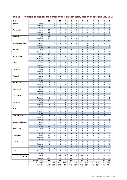| <b>DHB</b>                 |                         | 12                  | 11                             | 10                | 9                 | 8                              | $\overline{\phantom{a}}$ | 6                              | 5                   | 4                       | 3                 | 2                 | 1                 |
|----------------------------|-------------------------|---------------------|--------------------------------|-------------------|-------------------|--------------------------------|--------------------------|--------------------------------|---------------------|-------------------------|-------------------|-------------------|-------------------|
| Northland                  | Males                   | 0                   | 0                              | 2                 | 0                 | 0                              | 0                        | $\mathbf{1}$                   | 1                   | 0                       | 0                 | 0                 | 3                 |
|                            | Females                 | 0                   | 0                              | $\mathbf 1$       | $\mathbf{1}$      | $\mathbf 0$                    | 0                        | $\mathbf{1}$                   | $\mathbf 1$         | 0                       | $\mathbf 1$       | 0                 | $\mathbf{1}$      |
|                            | <b>TOTAL</b>            | $\mathbf 0$         | $\mathbf 0$                    | 3                 | $\mathbf{1}$      | $\mathbf 0$                    | $\mathbf{0}$             | $\overline{2}$                 | $\overline{2}$      | 0                       | $\mathbf{1}$      | $\mathbf 0$       | $\overline{a}$    |
| Waitemata                  | Males                   | 24                  | 0                              | 1                 | $\overline{2}$    | 1                              | $\overline{2}$           | $\mathbf{1}$                   | 1                   | 2                       | $\mathbf{1}$      | 5                 | 8                 |
|                            | Females                 | 19                  | 1                              | 1                 | 0                 | 0                              | $\mathbf{1}$             | $\mathbf{1}$                   | 0                   | 0                       | $\mathbf{1}$      | 0                 | $\overline{2}$    |
|                            | <b>TOTAL</b>            | 43                  | $\mathbf{1}$                   | $\overline{2}$    | $\overline{2}$    | $\mathbf{1}$                   | 3                        | $\overline{2}$                 | $\mathbf{1}$        | $\overline{2}$          | $\overline{2}$    | 5                 | 10                |
| Auckland                   | Males                   | 18                  | 2                              | 0                 | 0                 | 3                              | $\overline{2}$           | 3                              | 0                   | 2                       | $\mathbf{1}$      | 4                 | 20                |
|                            | Females                 | 19                  | 2                              | 1                 | $\mathbf{1}$      | 3                              | 0                        | $\mathbf{1}$                   | 2                   | 1                       | $\overline{2}$    | 4                 | 30                |
| <b>Counties Manukau</b>    | <b>TOTAL</b><br>Males   | 37<br>8             | $\overline{4}$<br>3            | $\mathbf{1}$<br>3 | $1\,$<br>3        | 6<br>0                         | $\overline{2}$<br>0      | $\overline{4}$<br>$\mathbf{1}$ | $\overline{2}$<br>6 | 3<br>0                  | 3<br>$\mathbf{1}$ | 8<br>0            | 50<br>3           |
|                            | Females                 | 3                   | 1                              | 0                 | 3                 | 1                              | $\mathbf{1}$             | $\mathbf{1}$                   | 4                   | 0                       | 0                 | 1                 | $\overline{2}$    |
|                            | <b>TOTAL</b>            | 11                  | $\overline{4}$                 | 3                 | $6\phantom{1}$    | $\mathbf{1}$                   | $\mathbf{1}$             | $\overline{2}$                 | 10                  | $\mathbf 0$             | $\mathbf{1}$      | $\mathbf{1}$      | 5                 |
| Waikato                    | Males                   | 9                   | 1                              | $\overline{2}$    | 3                 | $\overline{2}$                 | $\overline{2}$           | 2                              | 0                   | 0                       | $\overline{2}$    | 0                 | 0                 |
|                            | Females                 | 8                   | 2                              | 0                 | $\mathbf{1}$      | 1                              | $\mathbf{1}$             | 0                              | 1                   | 1                       | 0                 | 0                 | 0                 |
|                            | <b>TOTAL</b>            | 17                  | 3                              | $\overline{2}$    | $\overline{4}$    | 3                              | 3                        | $\overline{2}$                 | $\mathbf{1}$        | $\mathbf{1}$            | $\overline{2}$    | $\mathbf{0}$      | $\mathbf{0}$      |
| <b>Bay of Plenty</b>       | Males                   | $\overline{7}$      | 0                              | $\mathbf 1$       | 0                 | $\mathbf 1$                    | 0                        | 0                              | 0                   | 0                       | 0                 | 0                 | 0                 |
|                            | Females                 | 10                  | 0                              | 0                 | $\overline{2}$    | 0                              | 0                        | 0                              | 0                   | 0                       | 0                 | 0                 | 0                 |
|                            | <b>TOTAL</b>            | 17                  | $\mathbf 0$                    | $\mathbf 1$       | $\overline{2}$    | $\mathbf{1}$                   | $\mathbf{0}$             | $\mathbf{0}$                   | $\mathbf{0}$        | $\overline{0}$          | $\mathbf 0$       | $\mathbf 0$       | $\mathbf{0}$      |
| Lakes                      | Males                   | 1                   | 0                              | 0                 | 0                 | 0                              | 0                        | 0                              | 0                   | 0                       | 0                 | 0                 | 0                 |
|                            | Females                 | 0                   | 0                              | 0                 | 0                 | $\mathbf 1$                    | $\mathbf{1}$             | 0                              | 0                   | 0                       | $\mathbf 0$       | 0                 | 0                 |
|                            | <b>TOTAL</b>            | $1\,$               | $\mathbf 0$                    | 0                 | $\mathbf 0$       | $\mathbf{1}$                   | $\mathbf{1}$             | $\overline{0}$                 | 0                   | 0                       | $\mathbf{0}$      | $\mathbf{0}$      | $\mathbf{0}$      |
| Tairawhiti                 | Males                   | $1\,$               | 0                              | 0                 | 0                 | 0                              | 0                        | 0                              | 0                   | 0                       | 0                 | 0                 | 0                 |
|                            | Females                 | $1\,$               | 0                              | 0                 | 0                 | 0                              | 0                        | 0                              | 0                   | 0                       | 0                 | 0                 | 0                 |
|                            | <b>TOTAL</b>            | $\overline{2}$      | $\mathbf 0$                    | 0                 | $\mathbf 0$       | $\mathbf{0}$                   | $\mathbf{0}$             | $\mathbf{0}$                   | $\mathbf{0}$        | $\mathbf{0}$            | $\mathbf{0}$      | $\mathbf{0}$      | $\mathbf{0}$      |
| Taranaki                   | Males                   | 6                   | 0                              | 1                 | 0                 | 0                              | 0                        | $\mathbf{1}$                   | 0                   | 0                       | 0                 | 1                 | $\mathbf{1}$      |
|                            | Females                 | 0                   | 7                              | 0                 | $\mathbf{1}$      | 0                              | 0                        | 0                              | $\overline{2}$      | 0                       | 0                 | 1                 | $\mathbf{1}$      |
|                            | <b>TOTAL</b>            | 6                   | $\overline{7}$                 | $\mathbf{1}$      | $\mathbf{1}$      | $\mathbf 0$                    | 0                        | $\mathbf{1}$                   | $\overline{2}$      | 0                       | $\mathbf 0$       | $\overline{2}$    | $\overline{2}$    |
| <b>Hawkes Bay</b>          | Males                   | 3                   | 0                              | 0                 | $\mathbf{1}$      | 0                              | 0                        | 0                              | 0                   | 0                       | 0                 | 0                 | 0                 |
|                            | Females<br><b>TOTAL</b> | 4<br>$\overline{7}$ | 0<br>$\mathbf 0$               | 0<br>$\mathbf 0$  | 0<br>$\mathbf{1}$ | 0<br>$\mathbf 0$               | 0<br>$\mathbf{0}$        | 0<br>$\mathbf 0$               | 1<br>$\mathbf{1}$   | 0<br>$\overline{0}$     | 0<br>$\mathbf{0}$ | 0<br>$\mathbf 0$  | 1<br>$\mathbf{1}$ |
| Whanganui                  | Males                   | 3                   | 0                              | 0                 | 0                 | 0                              | 0                        | $\mathbf{1}$                   | 0                   | 0                       | 0                 | 0                 | 0                 |
|                            | Females                 | $\overline{2}$      | 0                              | 0                 | 0                 | 0                              | 0                        | 0                              | 0                   | 0                       | 0                 | 0                 | 0                 |
|                            | <b>TOTAL</b>            | 5                   | $\mathbf{0}$                   | $\mathbf 0$       | $\mathbf{0}$      | $\mathbf 0$                    | $\mathbf 0$              | $\mathbf{1}$                   | $\mathbf{0}$        | 0                       | $\mathbf 0$       | $\mathbf{0}$      | $\mathbf{0}$      |
| <b>MidCentral</b>          | Males                   | 6                   | 0                              | 0                 | 0                 | 0                              | 0                        | 0                              | 0                   | 0                       | 0                 | 0                 | 0                 |
|                            | Females                 | 6                   | 1                              | $\mathbf 1$       | 0                 | 0                              | 0                        | 0                              | 0                   | 0                       | 0                 | 0                 | 0                 |
|                            | <b>TOTAL</b>            | 12                  | $\mathbf{1}$                   | $\mathbf{1}$      | $\mathbf{0}$      | $\mathbf{0}$                   | $\mathbf{0}$             | $\mathbf{0}$                   | $\mathbf{0}$        | $\mathbf{0}$            | $\mathbf 0$       | $\mathbf{0}$      | $\mathbf{0}$      |
| Wairarapa                  | Males                   | 0                   | 0                              | 0                 | 0                 | $\mathbf 0$                    | 0                        | 0                              | 0                   | 0                       | 0                 | 0                 | 0                 |
|                            | Females                 | 3                   | 0                              | 0                 | 0                 | 0                              | 0                        | 0                              | 0                   | 0                       | 0                 | 0                 | 0                 |
|                            | <b>TOTAL</b>            | 3                   | $\mathbf 0$                    | 0                 | $\mathbf 0$       | 0                              | 0                        | $\mathbf 0$                    | 0                   | 0                       | $\mathbf 0$       | $\mathbf 0$       | $\mathbf{0}$      |
| Hutt                       | Males                   | 6                   | 0                              | $\mathbf 1$       | 0                 | 0                              | 0                        | 0                              | 0                   | 0                       | 0                 | 0                 | 0                 |
|                            | Females                 | $\mathbf 1$         | $\mathbf 1$                    | 0                 | 0                 | 1                              | 0                        | 0                              | 1                   | 0                       | 0                 | 0                 | 0                 |
|                            | <b>TOTAL</b>            | $\overline{7}$      | $\mathbf{1}$                   | $\mathbf{1}$      | 0                 | $\mathbf{1}$                   | $\mathbf{0}$             | $\overline{0}$                 | $\mathbf{1}$        | $\overline{0}$          | $\overline{0}$    | $\mathbf{0}$      | $\mathbf{0}$      |
| <b>Capital &amp; Coast</b> | Males                   | 3                   | 0                              | o                 | 0                 | 0                              | 0                        | 0                              | o                   | 0                       | 1                 | 0                 | $\sigma$          |
|                            | Females                 | 5                   | $\overline{2}$                 | 0                 | 0                 | 0                              | 0                        | 0                              | $\mathbf{1}$        | 0                       | 0                 | $\mathbf{1}$      | 0                 |
| <b>Nelson Marlborough</b>  | <b>TOTAL</b><br>Males   | 8<br>7              | 2 <sup>2</sup><br>$\mathbf{1}$ | 0<br>0            | $\mathbf{0}$<br>0 | $\mathbf{0}$<br>$\overline{2}$ | $\mathbf{0}$<br>0        | $\mathbf{0}$<br>0              | $\mathbf{1}$<br>0   | $\mathbf{0}$<br>0       | $\mathbf{1}$<br>0 | $\mathbf{1}$<br>0 | $\mathbf{0}$<br>0 |
|                            | Females                 | $\overline{7}$      | 0                              | 0                 | 0                 | 0                              | 0                        | $\mathbf{1}$                   | $\mathbf 0$         | 0                       | $\mathbf 0$       | 0                 | 0                 |
|                            | <b>TOTAL</b>            | 14                  | $\mathbf{1}$                   | 0                 | $\mathbf 0$       | $2^{\circ}$                    | $\mathbf 0$              | $\mathbf{1}$                   | $\mathbf 0$         | $\mathbf 0$             | $\mathbf 0$       | $\mathbf{0}$      | $\mathbf 0$       |
| <b>West Coast</b>          | Males                   | 4                   | 0                              | 0                 | 0                 | 0                              | 0                        | 0                              | 0                   | 0                       | 0                 | 0                 | 0                 |
|                            | Females                 | $\mathbf{1}$        | 0                              | 0                 | 0                 | 0                              | 0                        | 0                              | 0                   | 0                       | 0                 | 0                 | 0                 |
|                            | <b>TOTAL</b>            | 5                   | $\mathbf 0$                    | 0                 | $\mathbf{0}$      | $\mathbf{0}$                   | $\mathbf{0}$             | $\mathbf{0}$                   | $\mathbf 0$         | $\mathbf 0$             | $\mathbf 0$       | $\mathbf{0}$      | $\mathbf{0}$      |
| Canterbury                 | Males                   | 12                  | 0                              | $\mathbf 1$       | 0                 | $\overline{2}$                 | 0                        | $\mathbf{1}$                   | 0                   | 0                       | $\mathbf{1}$      | $\overline{2}$    | 7                 |
|                            | Females                 | 16                  | $\mathbf{1}$                   | $\overline{2}$    | 3                 | $\overline{2}$                 | 0                        | 0                              | $\overline{2}$      | $\mathbf{1}$            | 0                 | 3                 | 6                 |
|                            | <b>TOTAL</b>            | 28                  | $\mathbf{1}$                   | 3                 | $\overline{3}$    | $\overline{4}$                 | $\mathbf 0$              | $\mathbf{1}$                   | $2^{\circ}$         | $\mathbf{1}$            | $\mathbf{1}$      | 5                 | 13                |
| <b>South Canterbury</b>    | Males                   | $\mathbf{1}$        | 0                              | 0                 | 0                 | 0                              | 0                        | 0                              | 0                   | 0                       | 0                 | 0                 | 0                 |
|                            | Females                 | $\mathbf{1}$        | $\mathbf{1}$                   | 0                 | 0                 | 0                              | 0                        | 0                              | 0                   | 0                       | 0                 | 0                 | 0                 |
|                            | <b>TOTAL</b>            | $2^{\circ}$         | $\mathbf{1}$                   | $\mathbf{0}$      | $\mathbf{0}$      | $\mathbf{0}$                   | $\mathbf{0}$             | $\mathbf{0}$                   | $\mathbf{0}$        | $\mathbf{0}$            | $\mathbf{0}$      | $\mathbf{0}$      | $\mathbf{0}$      |
|                            | Males                   | 6                   | 0                              | 0                 | $\mathbf{1}$      | $\mathbf{1}$                   | $\overline{2}$           | $\mathbf{1}$                   | 0                   | 0                       | 0                 | $\mathbf{1}$      | 0                 |
| Southern                   | Females                 | $\overline{2}$      | $\mathbf{1}$                   | 0                 | 0                 | $\mathbf{1}$                   | 0                        | $\mathbf{1}$                   | $\mathbf{1}$        | 0                       | $\mathbf{1}$      | 0                 | 0                 |
|                            | <b>TOTAL</b>            | 8                   | $\mathbf{1}$                   | 0                 | $\mathbf{1}$      | $2^{\circ}$                    | $2^{\circ}$              | $2^{\circ}$                    | $\mathbf{1}$        | $\mathbf{0}$            | $\mathbf{1}$      | $\mathbf{1}$      | $\mathbf{0}$      |
| <b>Gender Totals</b>       | <b>Males</b>            | 125                 | $\overline{7}$                 | 12                | 10                | 12                             | 8                        | 12                             | 8                   | 4                       | $\overline{7}$    | 13                | 42                |
|                            | <b>Females</b>          | 108                 | 20                             | 6                 | 12                | 10                             | 4                        | 6                              | 16                  | 3                       | 5                 | 10                | 43                |
|                            | <b>National Total</b>   | 233                 | 27                             | 18                | 22                | 22                             | 12                       | 18                             | 24                  | $\overline{\mathbf{z}}$ | 12                | 23                | 85                |
|                            | % Female                | 46.4%               | 74%                            | 33%               | 55%               | 45%                            | 33%                      | 33%                            | 67%                 | 43%                     | 42%               | 43%               | 51%               |
|                            | % Male                  | 53.6%               | 26%                            | 67%               | 45%               | 55%                            | 67%                      | 67%                            | 33%                 | 57%                     | 58%               | 57%               | 49%               |

## **Table 6: Numbers of medical and dental officers on each salary step by gender and DHB 2017**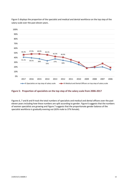

Figure 5 displays the proportion of the specialist and medical and dental workforce on the top step of the salary scale over the past eleven years.

#### **Figure 5: Proportion of specialists on the top step of the salary scale from 2006-2017**

Figures 6, 7 and 8 and 9 track the total numbers of specialists and medical and dental officers over the past eleven years including how these numbers are split according to gender. [Figure 6](#page-13-0) suggests that the numbers of women specialists are growing an[d Figure 7](#page-13-1) suggests that the proportionate gender balance of the specialist workforce is gradually evening out (63% male to 37% female).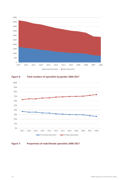

<span id="page-13-0"></span>



#### <span id="page-13-1"></span>**Figure 7: Proportions of male/female specialists 2006-2017**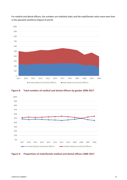

For medical and dental officers, the numbers are relatively static and the male/female ratios more even than in the specialist workforce (Figures 8 and 9).

#### **Figure 8: Total numbers of medical and dental officers by gender 2006-2017**